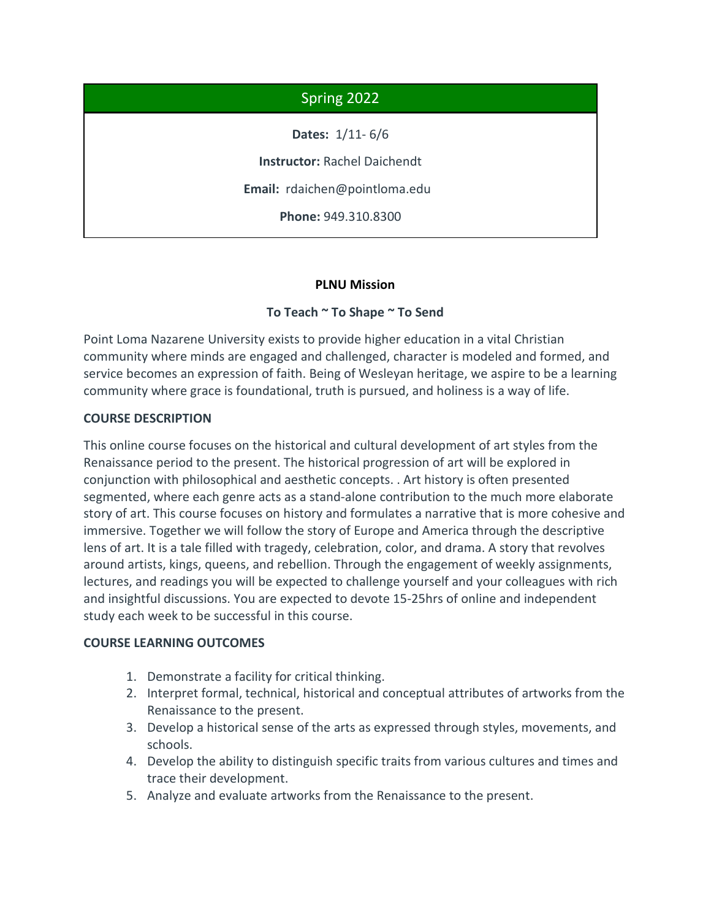# Spring 2022

**Dates:** 1/11- 6/6

**Instructor:** Rachel Daichendt

**Email:** rdaichen@pointloma.edu

**Phone:** 949.310.8300

## **PLNU Mission**

## **To Teach ~ To Shape ~ To Send**

Point Loma Nazarene University exists to provide higher education in a vital Christian community where minds are engaged and challenged, character is modeled and formed, and service becomes an expression of faith. Being of Wesleyan heritage, we aspire to be a learning community where grace is foundational, truth is pursued, and holiness is a way of life.

## **COURSE DESCRIPTION**

This online course focuses on the historical and cultural development of art styles from the Renaissance period to the present. The historical progression of art will be explored in conjunction with philosophical and aesthetic concepts. . Art history is often presented segmented, where each genre acts as a stand-alone contribution to the much more elaborate story of art. This course focuses on history and formulates a narrative that is more cohesive and immersive. Together we will follow the story of Europe and America through the descriptive lens of art. It is a tale filled with tragedy, celebration, color, and drama. A story that revolves around artists, kings, queens, and rebellion. Through the engagement of weekly assignments, lectures, and readings you will be expected to challenge yourself and your colleagues with rich and insightful discussions. You are expected to devote 15-25hrs of online and independent study each week to be successful in this course.

#### **COURSE LEARNING OUTCOMES**

- 1. Demonstrate a facility for critical thinking.
- 2. Interpret formal, technical, historical and conceptual attributes of artworks from the Renaissance to the present.
- 3. Develop a historical sense of the arts as expressed through styles, movements, and schools.
- 4. Develop the ability to distinguish specific traits from various cultures and times and trace their development.
- 5. Analyze and evaluate artworks from the Renaissance to the present.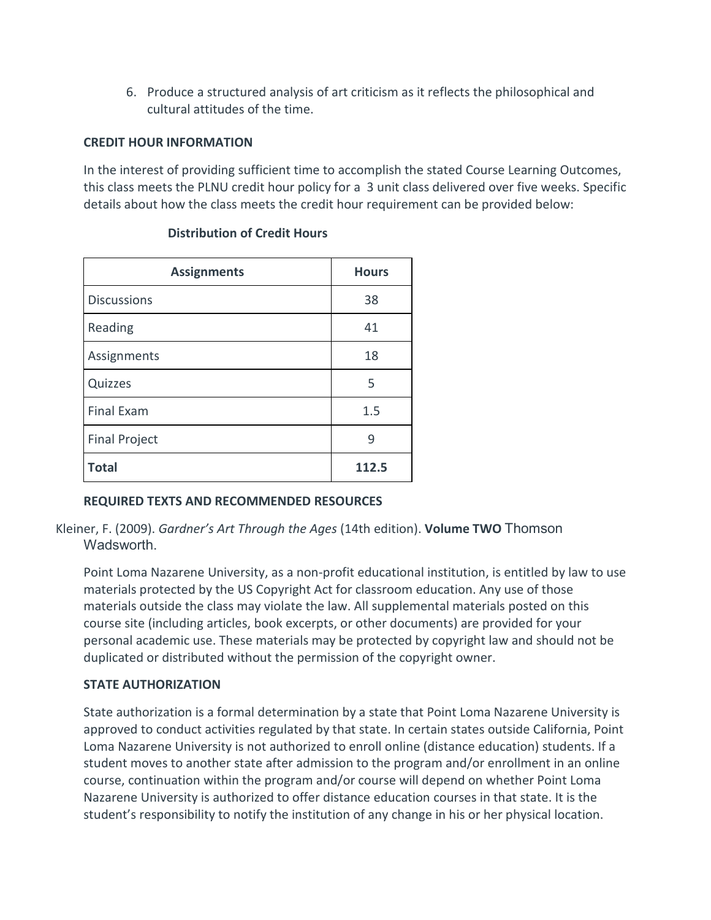6. Produce a structured analysis of art criticism as it reflects the philosophical and cultural attitudes of the time.

## **CREDIT HOUR INFORMATION**

In the interest of providing sufficient time to accomplish the stated Course Learning Outcomes, this class meets the PLNU credit hour policy for a 3 unit class delivered over five weeks. Specific details about how the class meets the credit hour requirement can be provided below:

| <b>Assignments</b>   | <b>Hours</b> |
|----------------------|--------------|
| <b>Discussions</b>   | 38           |
| Reading              | 41           |
| Assignments          | 18           |
| Quizzes              | 5            |
| <b>Final Exam</b>    | 1.5          |
| <b>Final Project</b> | 9            |
| <b>Total</b>         | 112.5        |

# **Distribution of Credit Hours**

## **REQUIRED TEXTS AND RECOMMENDED RESOURCES**

Kleiner, F. (2009). *Gardner's Art Through the Ages* (14th edition). **Volume TWO** Thomson **Wadsworth** 

Point Loma Nazarene University, as a non-profit educational institution, is entitled by law to use materials protected by the US Copyright Act for classroom education. Any use of those materials outside the class may violate the law. All supplemental materials posted on this course site (including articles, book excerpts, or other documents) are provided for your personal academic use. These materials may be protected by copyright law and should not be duplicated or distributed without the permission of the copyright owner.

## **STATE AUTHORIZATION**

State authorization is a formal determination by a state that Point Loma Nazarene University is approved to conduct activities regulated by that state. In certain states outside California, Point Loma Nazarene University is not authorized to enroll online (distance education) students. If a student moves to another state after admission to the program and/or enrollment in an online course, continuation within the program and/or course will depend on whether Point Loma Nazarene University is authorized to offer distance education courses in that state. It is the student's responsibility to notify the institution of any change in his or her physical location.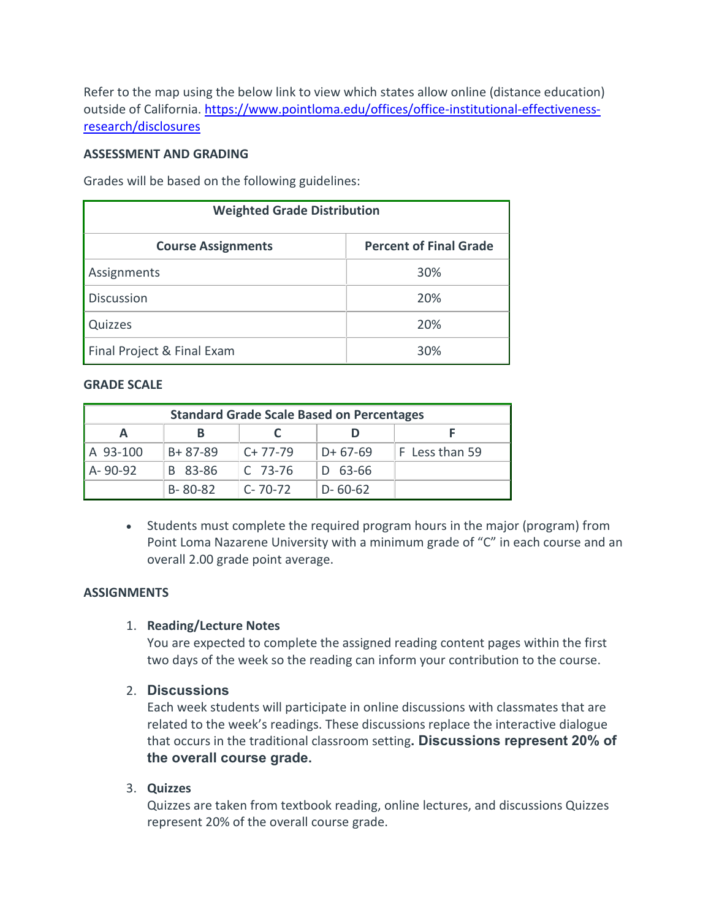Refer to the map using the below link to view which states allow online (distance education) outside of California. [https://www.pointloma.edu/offices/office-institutional-effectiveness](https://www.pointloma.edu/offices/office-institutional-effectiveness-research/disclosures)[research/disclosures](https://www.pointloma.edu/offices/office-institutional-effectiveness-research/disclosures)

#### **ASSESSMENT AND GRADING**

Grades will be based on the following guidelines:

| <b>Weighted Grade Distribution</b> |                               |  |  |
|------------------------------------|-------------------------------|--|--|
| <b>Course Assignments</b>          | <b>Percent of Final Grade</b> |  |  |
| Assignments                        | 30%                           |  |  |
| <b>Discussion</b>                  | 20%                           |  |  |
| Quizzes                            | 20%                           |  |  |
| Final Project & Final Exam         | 30%                           |  |  |

#### **GRADE SCALE**

| <b>Standard Grade Scale Based on Percentages</b> |               |               |               |                |
|--------------------------------------------------|---------------|---------------|---------------|----------------|
| A                                                | в             |               |               |                |
| A 93-100                                         | $B + 87 - 89$ | $C+77-79$     | $D+67-69$     | F Less than 59 |
| A-90-92                                          | B 83-86       | $C$ 73-76     | D 63-66       |                |
|                                                  | $B - 80 - 82$ | $C - 70 - 72$ | $D - 60 - 62$ |                |

• Students must complete the required program hours in the major (program) from Point Loma Nazarene University with a minimum grade of "C" in each course and an overall 2.00 grade point average.

#### **ASSIGNMENTS**

#### 1. **Reading/Lecture Notes**

You are expected to complete the assigned reading content pages within the first two days of the week so the reading can inform your contribution to the course.

#### 2. **Discussions**

Each week students will participate in online discussions with classmates that are related to the week's readings. These discussions replace the interactive dialogue that occurs in the traditional classroom setting**. Discussions represent 20% of the overall course grade.**

#### 3. **Quizzes**

Quizzes are taken from textbook reading, online lectures, and discussions Quizzes represent 20% of the overall course grade.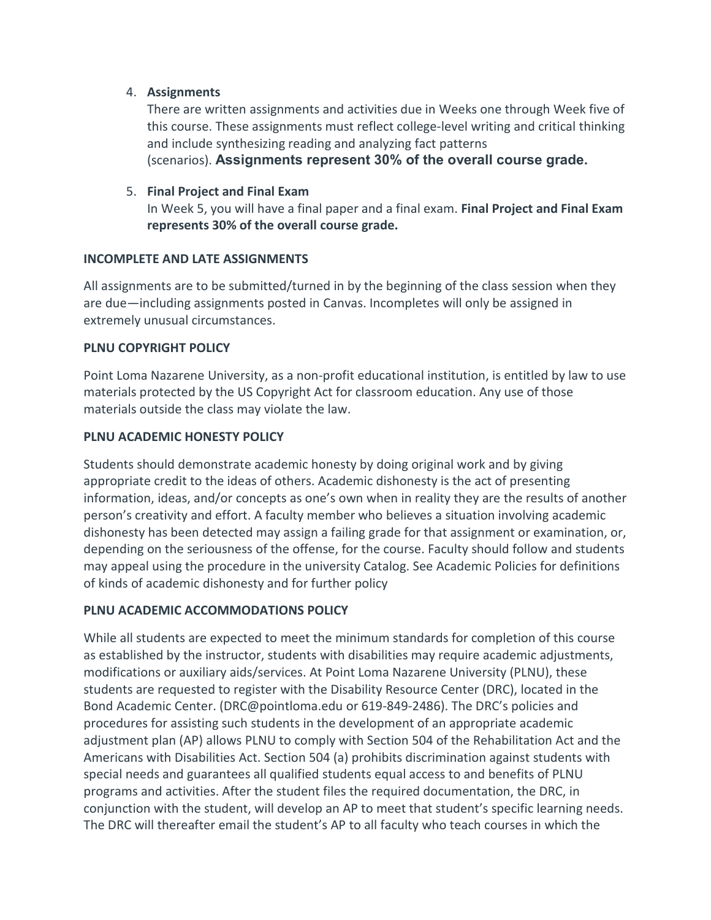## 4. **Assignments**

There are written assignments and activities due in Weeks one through Week five of this course. These assignments must reflect college-level writing and critical thinking and include synthesizing reading and analyzing fact patterns (scenarios). **Assignments represent 30% of the overall course grade.**

## 5. **Final Project and Final Exam**

In Week 5, you will have a final paper and a final exam. **Final Project and Final Exam represents 30% of the overall course grade.**

## **INCOMPLETE AND LATE ASSIGNMENTS**

All assignments are to be submitted/turned in by the beginning of the class session when they are due—including assignments posted in Canvas. Incompletes will only be assigned in extremely unusual circumstances.

## **PLNU COPYRIGHT POLICY**

Point Loma Nazarene University, as a non-profit educational institution, is entitled by law to use materials protected by the US Copyright Act for classroom education. Any use of those materials outside the class may violate the law.

## **PLNU ACADEMIC HONESTY POLICY**

Students should demonstrate academic honesty by doing original work and by giving appropriate credit to the ideas of others. Academic dishonesty is the act of presenting information, ideas, and/or concepts as one's own when in reality they are the results of another person's creativity and effort. A faculty member who believes a situation involving academic dishonesty has been detected may assign a failing grade for that assignment or examination, or, depending on the seriousness of the offense, for the course. Faculty should follow and students may appeal using the procedure in the university Catalog. See Academic Policies for definitions of kinds of academic dishonesty and for further policy

## **PLNU ACADEMIC ACCOMMODATIONS POLICY**

While all students are expected to meet the minimum standards for completion of this course as established by the instructor, students with disabilities may require academic adjustments, modifications or auxiliary aids/services. At Point Loma Nazarene University (PLNU), these students are requested to register with the Disability Resource Center (DRC), located in the Bond Academic Center. (DRC@pointloma.edu or 619-849-2486). The DRC's policies and procedures for assisting such students in the development of an appropriate academic adjustment plan (AP) allows PLNU to comply with Section 504 of the Rehabilitation Act and the Americans with Disabilities Act. Section 504 (a) prohibits discrimination against students with special needs and guarantees all qualified students equal access to and benefits of PLNU programs and activities. After the student files the required documentation, the DRC, in conjunction with the student, will develop an AP to meet that student's specific learning needs. The DRC will thereafter email the student's AP to all faculty who teach courses in which the